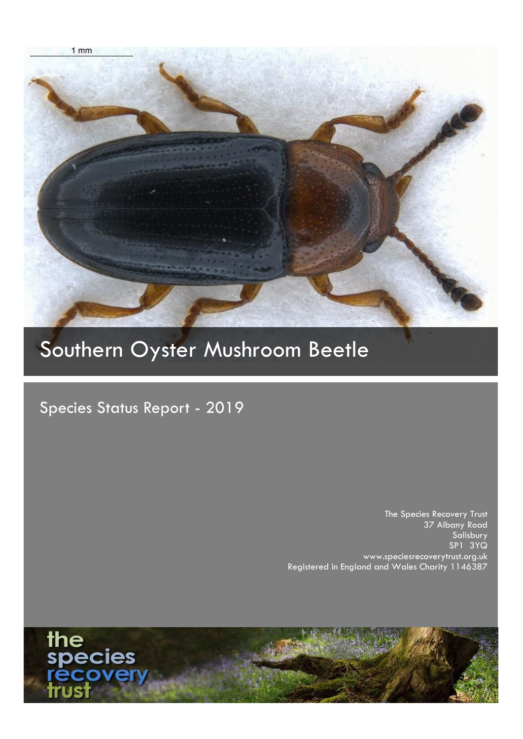

# Southern Oyster Mushroom Beetle

Species Status Report - 2019

The Species Recovery Trust 37 Albany Road Salisbury SP1 3YQ www.speciesrecoverytrust.org.uk Registered in England and Wales Charity 1146387

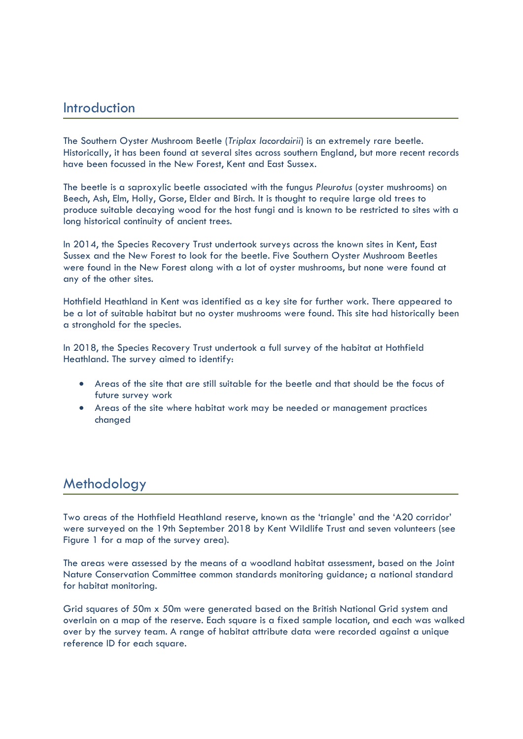#### Introduction

The Southern Oyster Mushroom Beetle (*Triplax lacordairii*) is an extremely rare beetle. Historically, it has been found at several sites across southern England, but more recent records have been focussed in the New Forest, Kent and East Sussex.

The beetle is a saproxylic beetle associated with the fungus *Pleurotus* (oyster mushrooms) on Beech, Ash, Elm, Holly, Gorse, Elder and Birch. It is thought to require large old trees to produce suitable decaying wood for the host fungi and is known to be restricted to sites with a long historical continuity of ancient trees.

In 2014, the Species Recovery Trust undertook surveys across the known sites in Kent, East Sussex and the New Forest to look for the beetle. Five Southern Oyster Mushroom Beetles were found in the New Forest along with a lot of oyster mushrooms, but none were found at any of the other sites.

Hothfield Heathland in Kent was identified as a key site for further work. There appeared to be a lot of suitable habitat but no oyster mushrooms were found. This site had historically been a stronghold for the species.

In 2018, the Species Recovery Trust undertook a full survey of the habitat at Hothfield Heathland. The survey aimed to identify:

- Areas of the site that are still suitable for the beetle and that should be the focus of future survey work
- Areas of the site where habitat work may be needed or management practices changed

## **Methodology**

Two areas of the Hothfield Heathland reserve, known as the 'triangle' and the 'A20 corridor' were surveyed on the 19th September 2018 by Kent Wildlife Trust and seven volunteers (see Figure 1 for a map of the survey area).

The areas were assessed by the means of a woodland habitat assessment, based on the Joint Nature Conservation Committee common standards monitoring guidance; a national standard for habitat monitoring.

Grid squares of 50m x 50m were generated based on the British National Grid system and overlain on a map of the reserve. Each square is a fixed sample location, and each was walked over by the survey team. A range of habitat attribute data were recorded against a unique reference ID for each square.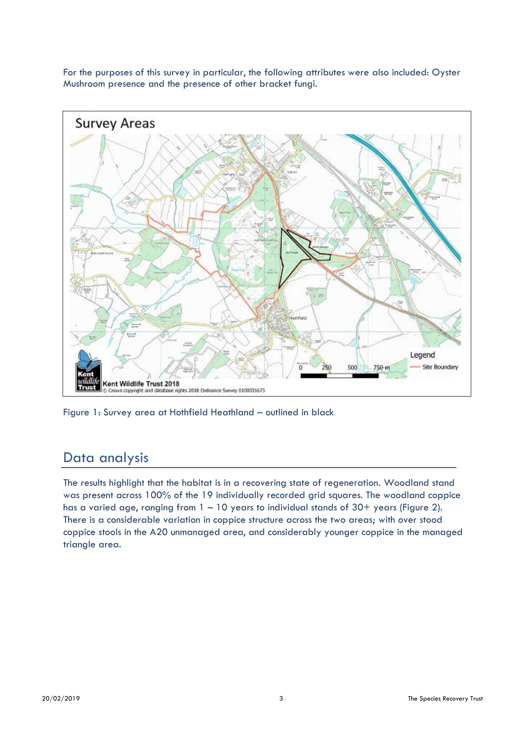For the purposes of this survey in particular, the following attributes were also included: Oyster Mushroom presence and the presence of other bracket fungi.



Figure 1: Survey area at Hothfield Heathland – outlined in black

## Data analysis

The results highlight that the habitat is in a recovering state of regeneration. Woodland stand was present across 100% of the 19 individually recorded grid squares. The woodland coppice has a varied age, ranging from 1 - 10 years to individual stands of 30+ years (Figure 2). There is a considerable variation in coppice structure across the two areas; with over stood coppice stools in the A20 unmanaged area, and considerably younger coppice in the managed triangle area.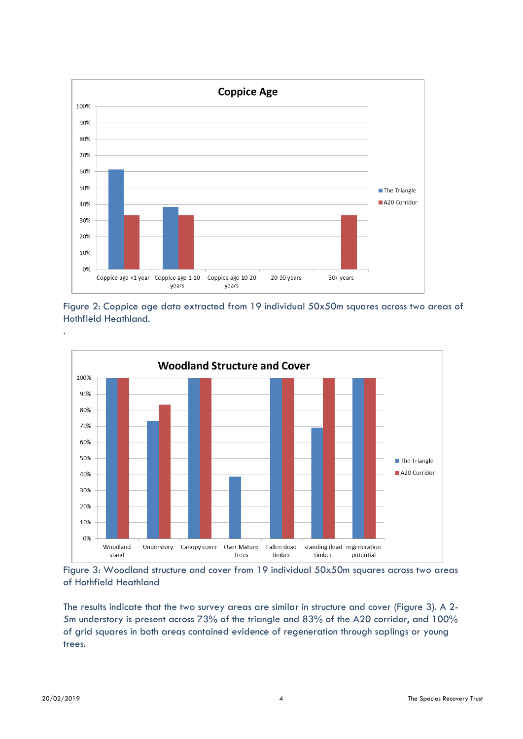

Figure 2: Coppice age data extracted from 19 individual 50x50m squares across two areas of Hothfield Heathland.



Figure 3: Woodland structure and cover from 19 individual 50x50m squares across two areas of Hothfield Heathland

The results indicate that the two survey areas are similar in structure and cover (Figure 3). A 2- 5m understory is present across 73% of the triangle and 83% of the A20 corridor, and 100% of grid squares in both areas contained evidence of regeneration through saplings or young trees.

.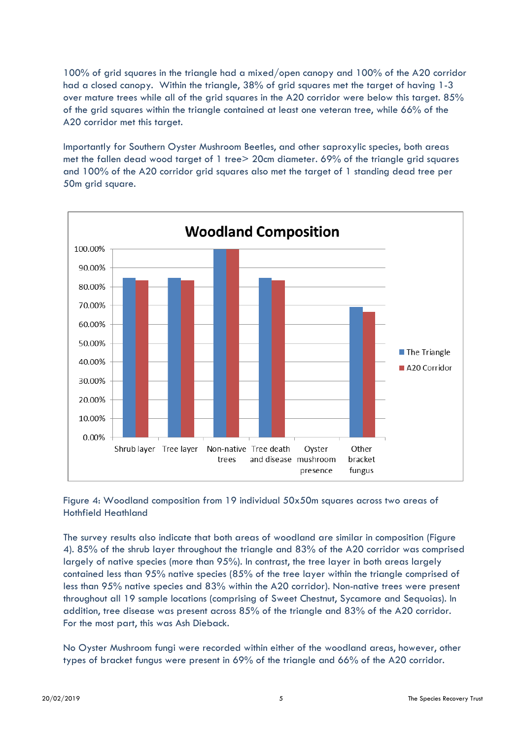100% of grid squares in the triangle had a mixed/open canopy and 100% of the A20 corridor had a closed canopy. Within the triangle, 38% of grid squares met the target of having 1-3 over mature trees while all of the grid squares in the A20 corridor were below this target. 85% of the grid squares within the triangle contained at least one veteran tree, while 66% of the A20 corridor met this target.

Importantly for Southern Oyster Mushroom Beetles, and other saproxylic species, both areas met the fallen dead wood target of 1 tree> 20cm diameter. 69% of the triangle grid squares and 100% of the A20 corridor grid squares also met the target of 1 standing dead tree per 50m grid square.



Figure 4: Woodland composition from 19 individual 50x50m squares across two areas of Hothfield Heathland

The survey results also indicate that both areas of woodland are similar in composition (Figure 4). 85% of the shrub layer throughout the triangle and 83% of the A20 corridor was comprised largely of native species (more than 95%). In contrast, the tree layer in both areas largely contained less than 95% native species (85% of the tree layer within the triangle comprised of less than 95% native species and 83% within the A20 corridor). Non-native trees were present throughout all 19 sample locations (comprising of Sweet Chestnut, Sycamore and Sequoias). In addition, tree disease was present across 85% of the triangle and 83% of the A20 corridor. For the most part, this was Ash Dieback.

No Oyster Mushroom fungi were recorded within either of the woodland areas, however, other types of bracket fungus were present in 69% of the triangle and 66% of the A20 corridor.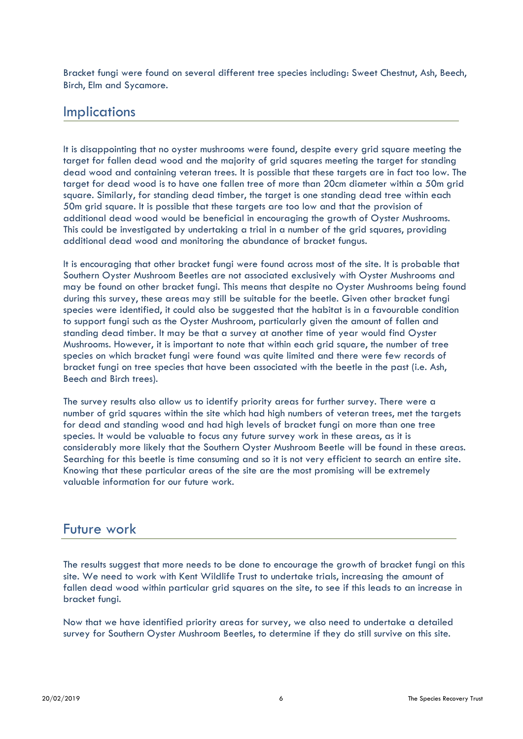Bracket fungi were found on several different tree species including: Sweet Chestnut, Ash, Beech, Birch, Elm and Sycamore.

#### **Implications**

It is disappointing that no oyster mushrooms were found, despite every grid square meeting the target for fallen dead wood and the majority of grid squares meeting the target for standing dead wood and containing veteran trees. It is possible that these targets are in fact too low. The target for dead wood is to have one fallen tree of more than 20cm diameter within a 50m grid square. Similarly, for standing dead timber, the target is one standing dead tree within each 50m grid square. It is possible that these targets are too low and that the provision of additional dead wood would be beneficial in encouraging the growth of Oyster Mushrooms. This could be investigated by undertaking a trial in a number of the grid squares, providing additional dead wood and monitoring the abundance of bracket fungus.

It is encouraging that other bracket fungi were found across most of the site. It is probable that Southern Oyster Mushroom Beetles are not associated exclusively with Oyster Mushrooms and may be found on other bracket fungi. This means that despite no Oyster Mushrooms being found during this survey, these areas may still be suitable for the beetle. Given other bracket fungi species were identified, it could also be suggested that the habitat is in a favourable condition to support fungi such as the Oyster Mushroom, particularly given the amount of fallen and standing dead timber. It may be that a survey at another time of year would find Oyster Mushrooms. However, it is important to note that within each grid square, the number of tree species on which bracket fungi were found was quite limited and there were few records of bracket fungi on tree species that have been associated with the beetle in the past (i.e. Ash, Beech and Birch trees).

The survey results also allow us to identify priority areas for further survey. There were a number of grid squares within the site which had high numbers of veteran trees, met the targets for dead and standing wood and had high levels of bracket fungi on more than one tree species. It would be valuable to focus any future survey work in these areas, as it is considerably more likely that the Southern Oyster Mushroom Beetle will be found in these areas. Searching for this beetle is time consuming and so it is not very efficient to search an entire site. Knowing that these particular areas of the site are the most promising will be extremely valuable information for our future work.

#### Future work

The results suggest that more needs to be done to encourage the growth of bracket fungi on this site. We need to work with Kent Wildlife Trust to undertake trials, increasing the amount of fallen dead wood within particular grid squares on the site, to see if this leads to an increase in bracket fungi.

Now that we have identified priority areas for survey, we also need to undertake a detailed survey for Southern Oyster Mushroom Beetles, to determine if they do still survive on this site.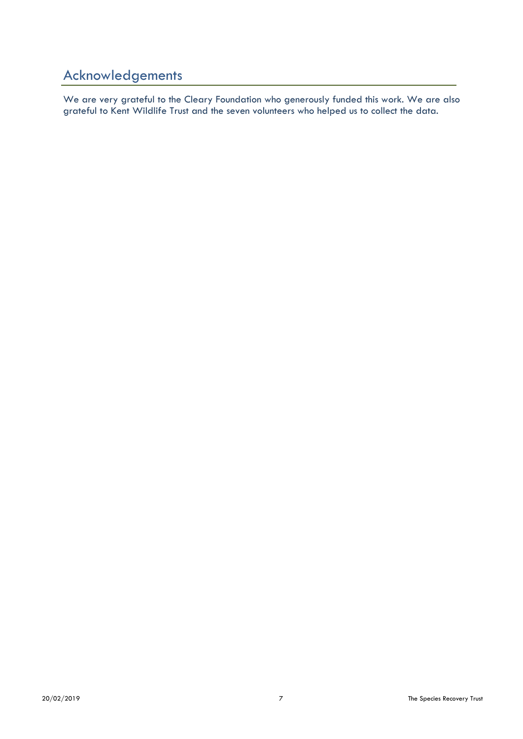# Acknowledgements

We are very grateful to the Cleary Foundation who generously funded this work. We are also grateful to Kent Wildlife Trust and the seven volunteers who helped us to collect the data.